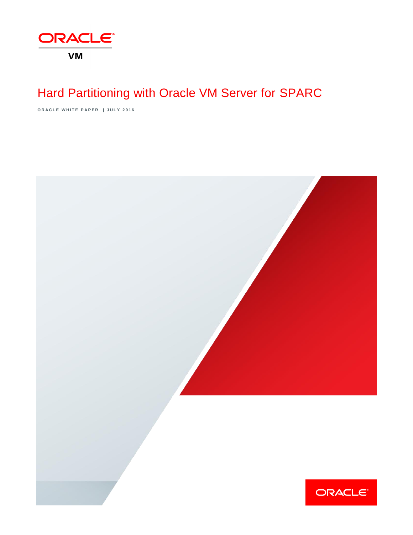

# Hard Partitioning with Oracle VM Server for SPARC

**O R A C L E W H I T E P A P E R | J U L Y 2 0 1 6**

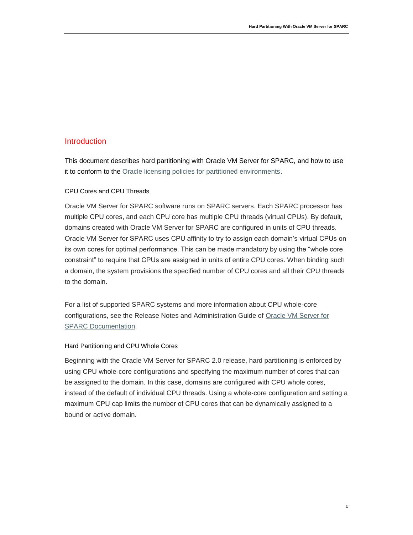### **Introduction**

This document describes hard partitioning with Oracle VM Server for SPARC, and how to use it to conform to the [Oracle licensing policies for partitioned environments.](http://www.oracle.com/us/corporate/pricing/partitioning-070609.pdf)

#### CPU Cores and CPU Threads

Oracle VM Server for SPARC software runs on SPARC servers. Each SPARC processor has multiple CPU cores, and each CPU core has multiple CPU threads (virtual CPUs). By default, domains created with Oracle VM Server for SPARC are configured in units of CPU threads. Oracle VM Server for SPARC uses CPU affinity to try to assign each domain's virtual CPUs on its own cores for optimal performance. This can be made mandatory by using the "whole core constraint" to require that CPUs are assigned in units of entire CPU cores. When binding such a domain, the system provisions the specified number of CPU cores and all their CPU threads to the domain.

For a list of supported SPARC systems and more information about CPU whole-core configurations, see the Release Notes and Administration Guide of [Oracle VM Server for](http://www.oracle.com/technetwork/documentation/vm-sparc-194287.html)  [SPARC Documentation.](http://www.oracle.com/technetwork/documentation/vm-sparc-194287.html)

#### Hard Partitioning and CPU Whole Cores

Beginning with the Oracle VM Server for SPARC 2.0 release, hard partitioning is enforced by using CPU whole-core configurations and specifying the maximum number of cores that can be assigned to the domain. In this case, domains are configured with CPU whole cores, instead of the default of individual CPU threads. Using a whole-core configuration and setting a maximum CPU cap limits the number of CPU cores that can be dynamically assigned to a bound or active domain.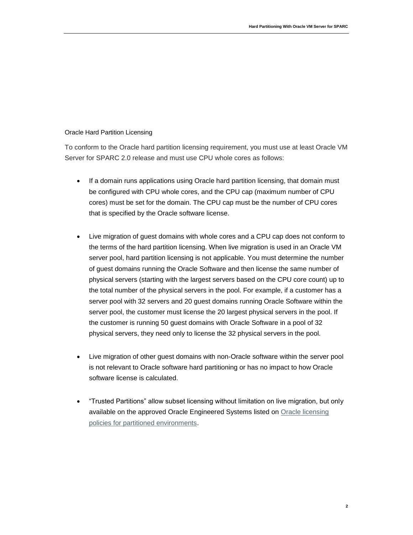#### Oracle Hard Partition Licensing

To conform to the Oracle hard partition licensing requirement, you must use at least Oracle VM Server for SPARC 2.0 release and must use CPU whole cores as follows:

- If a domain runs applications using Oracle hard partition licensing, that domain must be configured with CPU whole cores, and the CPU cap (maximum number of CPU cores) must be set for the domain. The CPU cap must be the number of CPU cores that is specified by the Oracle software license.
- Live migration of guest domains with whole cores and a CPU cap does not conform to the terms of the hard partition licensing. When live migration is used in an Oracle VM server pool, hard partition licensing is not applicable. You must determine the number of guest domains running the Oracle Software and then license the same number of physical servers (starting with the largest servers based on the CPU core count) up to the total number of the physical servers in the pool. For example, if a customer has a server pool with 32 servers and 20 guest domains running Oracle Software within the server pool, the customer must license the 20 largest physical servers in the pool. If the customer is running 50 guest domains with Oracle Software in a pool of 32 physical servers, they need only to license the 32 physical servers in the pool.
- Live migration of other guest domains with non-Oracle software within the server pool is not relevant to Oracle software hard partitioning or has no impact to how Oracle software license is calculated.
- "Trusted Partitions" allow subset licensing without limitation on live migration, but only available on the approved Oracle Engineered Systems listed on [Oracle licensing](http://www.oracle.com/us/corporate/pricing/partitioning-070609.pdf)  [policies for partitioned environments.](http://www.oracle.com/us/corporate/pricing/partitioning-070609.pdf)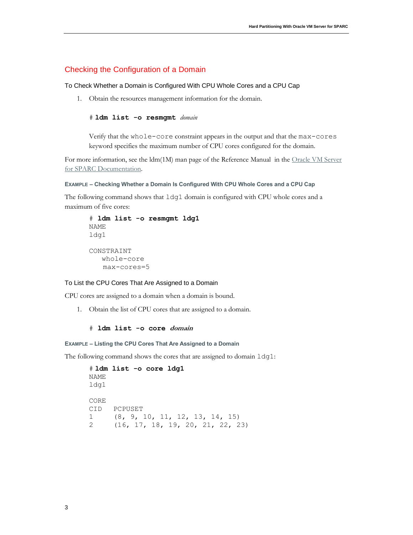#### Checking the Configuration of a Domain

#### To Check Whether a Domain is Configured With CPU Whole Cores and a CPU Cap

1. Obtain the resources management information for the domain.

#### # **ldm list -o resmgmt** *domain*

Verify that the whole-core constraint appears in the output and that the max-cores keyword specifies the maximum number of CPU cores configured for the domain.

For more information, see the ldm(1M) man page of the Reference Manual in the Oracle VM Server [for SPARC Documentation.](http://www.oracle.com/technetwork/documentation/vm-sparc-194287.html)

#### **EXAMPLE – Checking Whether a Domain Is Configured With CPU Whole Cores and a CPU Cap**

The following command shows that ldg1 domain is configured with CPU whole cores and a maximum of five cores:

```
# ldm list -o resmgmt ldg1
NAME
ldg1
CONSTRAINT
    whole-core
    max-cores=5
```
#### To List the CPU Cores That Are Assigned to a Domain

CPU cores are assigned to a domain when a domain is bound.

1. Obtain the list of CPU cores that are assigned to a domain.

#### # **ldm list -o core domain**

#### **EXAMPLE – Listing the CPU Cores That Are Assigned to a Domain**

The following command shows the cores that are assigned to domain  $l dq1$ :

```
# ldm list -o core ldg1
NAME 
ldg1
CORE 
CID PCPUSET 
1 (8, 9, 10, 11, 12, 13, 14, 15) 
2 (16, 17, 18, 19, 20, 21, 22, 23)
```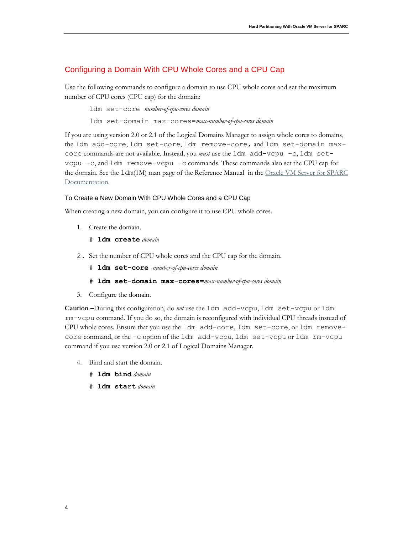## Configuring a Domain With CPU Whole Cores and a CPU Cap

Use the following commands to configure a domain to use CPU whole cores and set the maximum number of CPU cores (CPU cap) for the domain:

ldm set-core *number-of-cpu-cores domain*

ldm set-domain max-cores=*max-number-of-cpu-cores domain*

If you are using version 2.0 or 2.1 of the Logical Domains Manager to assign whole cores to domains, the ldm add-core, ldm set-core, ldm remove-core, and ldm set-domain maxcore commands are not available. Instead, you *must* use the 1dm add-vcpu -c, 1dm setvcpu –c, and ldm remove-vcpu –c commands. These commands also set the CPU cap for the domain. See the 1dm(1M) man page of the Reference Manual in the Oracle VM Server for SPARC [Documentation.](http://www.oracle.com/technetwork/documentation/vm-sparc-194287.html)

#### To Create a New Domain With CPU Whole Cores and a CPU Cap

When creating a new domain, you can configure it to use CPU whole cores.

- 1. Create the domain.
	- # **ldm create** *domain*
- 2. Set the number of CPU whole cores and the CPU cap for the domain.
	- # **ldm set-core** *number-of-cpu-cores domain*
	- # **ldm set-domain max-cores=***max-number-of-cpu-cores domain*
- 3. Configure the domain.

**Caution –**During this configuration, do *not* use the ldm add-vcpu, ldm set-vcpu or ldm rm-vcpu command. If you do so, the domain is reconfigured with individual CPU threads instead of CPU whole cores. Ensure that you use the ldm add-core, ldm set-core, or ldm removecore command, or the –c option of the ldm add-vcpu, ldm set-vcpu or ldm rm-vcpu command if you use version 2.0 or 2.1 of Logical Domains Manager.

- 4. Bind and start the domain.
	- # **ldm bind** *domain*
	- # **ldm start** *domain*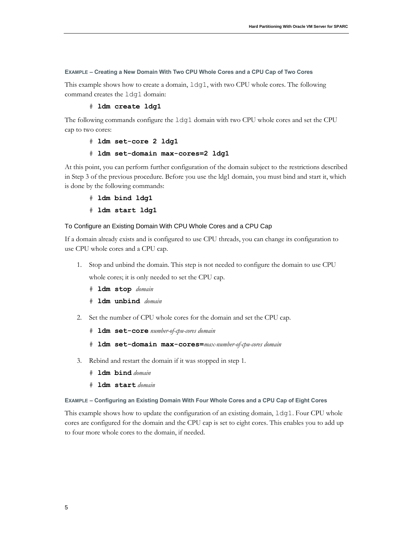#### **EXAMPLE – Creating a New Domain With Two CPU Whole Cores and a CPU Cap of Two Cores**

This example shows how to create a domain, ldg1, with two CPU whole cores. The following command creates the ldg1 domain:

#### # **ldm create ldg1**

The following commands configure the ldg1 domain with two CPU whole cores and set the CPU cap to two cores:

```
# ldm set-core 2 ldg1
```
#### # **ldm set-domain max-cores=2 ldg1**

At this point, you can perform further configuration of the domain subject to the restrictions described in Step 3 of the previous procedure. Before you use the ldg1 domain, you must bind and start it, which is done by the following commands:

- # **ldm bind ldg1**
- # **ldm start ldg1**

#### To Configure an Existing Domain With CPU Whole Cores and a CPU Cap

If a domain already exists and is configured to use CPU threads, you can change its configuration to use CPU whole cores and a CPU cap.

- 1. Stop and unbind the domain. This step is not needed to configure the domain to use CPU whole cores; it is only needed to set the CPU cap.
	- # **ldm stop** *domain*
	- # **ldm unbind** *domain*
- 2. Set the number of CPU whole cores for the domain and set the CPU cap.
	- # **ldm set-core** *number-of-cpu-cores domain*
	- # **ldm set-domain max-cores=***max-number-of-cpu-cores domain*
- 3. Rebind and restart the domain if it was stopped in step 1.
	- # **ldm bind** *domain*
	- # **ldm start** *domain*

#### **EXAMPLE – Configuring an Existing Domain With Four Whole Cores and a CPU Cap of Eight Cores**

This example shows how to update the configuration of an existing domain,  $1dq1$ . Four CPU whole cores are configured for the domain and the CPU cap is set to eight cores. This enables you to add up to four more whole cores to the domain, if needed.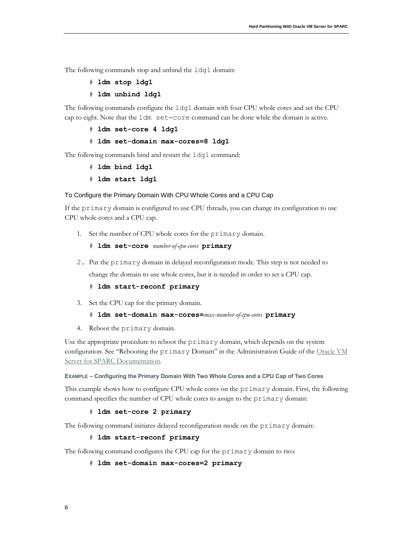The following commands stop and unbind the 1dg1 domain:

- # **ldm stop ldg1**
- # **ldm unbind ldg1**

The following commands configure the ldg1 domain with four CPU whole cores and set the CPU cap to eight. Note that the ldm set-core command can be done while the domain is active.

# **ldm set-core 4 ldg1**

#### # **ldm set-domain max-cores=8 ldg1**

The following commands bind and restart the ldg1 command:

- # **ldm bind ldg1**
- # **ldm start ldg1**

#### To Configure the Primary Domain With CPU Whole Cores and a CPU Cap

If the primary domain is configured to use CPU threads, you can change its configuration to use CPU whole cores and a CPU cap.

1. Set the number of CPU whole cores for the primary domain.

```
# ldm set-core number-of-cpu-cores primary
```
2. Put the primary domain in delayed reconfiguration mode. This step is not needed to change the domain to use whole cores, but it is needed in order to set a CPU cap.

#### # **ldm start-reconf primary**

- 3. Set the CPU cap for the primary domain.
	- # **ldm set-domain max-cores=***max-number-of-cpu-cores* **primary**
- 4. Reboot the primary domain.

Use the appropriate procedure to reboot the primary domain, which depends on the system configuration. See "Rebooting the primary Domain" in the Administration Guide of the Oracle VM [Server for SPARC Documentation](http://www.oracle.com/technetwork/documentation/vm-sparc-194287.html)*.*

#### **EXAMPLE – Configuring the Primary Domain With Two Whole Cores and a CPU Cap of Two Cores**

This example shows how to configure CPU whole cores on the primary domain. First, the following command specifies the number of CPU whole cores to assign to the primary domain:

#### # **ldm set-core 2 primary**

The following command initiates delayed reconfiguration mode on the primary domain:

#### # **ldm start-reconf primary**

The following command configures the CPU cap for the primary domain to two:

#### # **ldm set-domain max-cores=2 primary**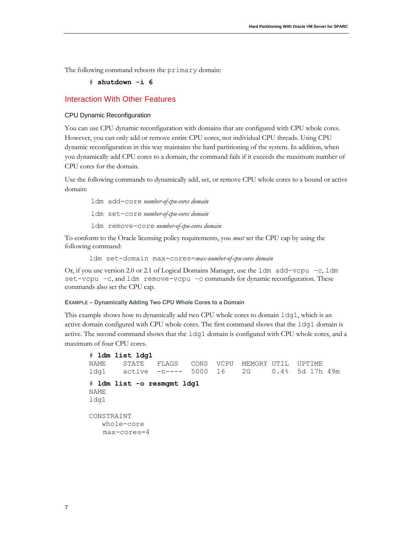The following command reboots the primary domain:

#### # **shutdown -i 6**

#### Interaction With Other Features

#### CPU Dynamic Reconfiguration

You can use CPU dynamic reconfiguration with domains that are configured with CPU whole cores. However, you can only add or remove entire CPU cores, not individual CPU threads. Using CPU dynamic reconfiguration in this way maintains the hard partitioning of the system. In addition, when you dynamically add CPU cores to a domain, the command fails if it exceeds the maximum number of CPU cores for the domain.

Use the following commands to dynamically add, set, or remove CPU whole cores to a bound or active domain:

ldm add-core *number-of-cpu-cores domain* ldm set-core *number-of-cpu-cores domain* ldm remove-core *number-of-cpu-cores domain*

To conform to the Oracle licensing policy requirements, you *must* set the CPU cap by using the following command:

ldm set-domain max-cores=*max-number-of-cpu-cores domain*

Or, if you use version 2.0 or 2.1 of Logical Domains Manager, use the 1dm  $add-vcpu -c$ , 1dm set-vcpu –c, and ldm remove-vcpu –c commands for dynamic reconfiguration. These commands also set the CPU cap.

#### **EXAMPLE – Dynamically Adding Two CPU Whole Cores to a Domain**

This example shows how to dynamically add two CPU whole cores to domain  $l dq1$ , which is an active domain configured with CPU whole cores. The first command shows that the  $l dq1$  domain is active. The second command shows that the ldg1 domain is configured with CPU whole cores, and a maximum of four CPU cores.

```
# ldm list ldg1
NAME STATE FLAGS CONS VCPU MEMORY UTIL UPTIME
ldg1 active -n---- 5000 16 2G 0.4% 5d 17h 49m
# ldm list -o resmgmt ldg1
NAME
ldg1
CONSTRAINT
   whole-core
   max-cores=4
```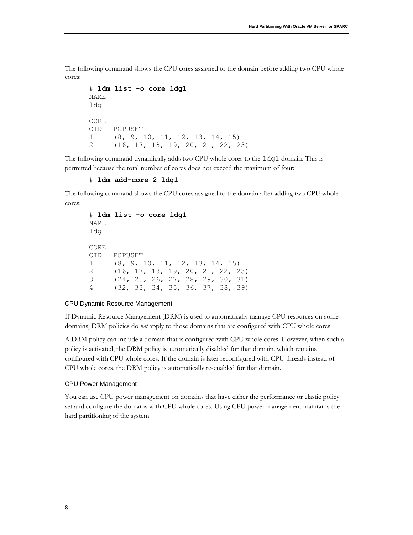The following command shows the CPU cores assigned to the domain before adding two CPU whole cores:

```
# ldm list -o core ldg1
NAME 
ldg1
CORE 
CID PCPUSET 
1 (8, 9, 10, 11, 12, 13, 14, 15) 
2 (16, 17, 18, 19, 20, 21, 22, 23)
```
The following command dynamically adds two CPU whole cores to the ldg1 domain. This is permitted because the total number of cores does not exceed the maximum of four:

#### # **ldm add-core 2 ldg1**

The following command shows the CPU cores assigned to the domain after adding two CPU whole cores:

```
# ldm list -o core ldg1
NAME 
ldg1
CORE 
CID PCPUSET 
1 (8, 9, 10, 11, 12, 13, 14, 15) 
2 (16, 17, 18, 19, 20, 21, 22, 23) 
3 (24, 25, 26, 27, 28, 29, 30, 31)
4 (32, 33, 34, 35, 36, 37, 38, 39)
```
#### CPU Dynamic Resource Management

If Dynamic Resource Management (DRM) is used to automatically manage CPU resources on some domains, DRM policies do *not* apply to those domains that are configured with CPU whole cores.

A DRM policy can include a domain that is configured with CPU whole cores. However, when such a policy is activated, the DRM policy is automatically disabled for that domain, which remains configured with CPU whole cores. If the domain is later reconfigured with CPU threads instead of CPU whole cores, the DRM policy is automatically re-enabled for that domain.

#### CPU Power Management

You can use CPU power management on domains that have either the performance or elastic policy set and configure the domains with CPU whole cores. Using CPU power management maintains the hard partitioning of the system.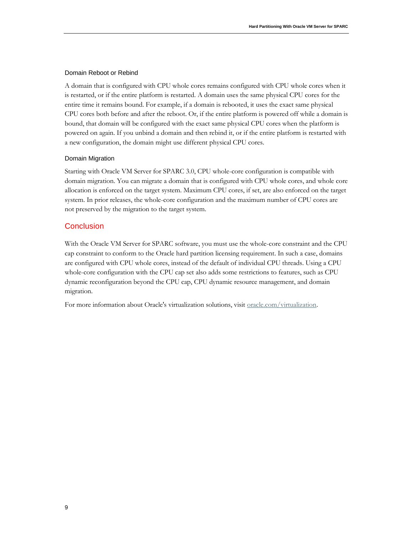#### Domain Reboot or Rebind

A domain that is configured with CPU whole cores remains configured with CPU whole cores when it is restarted, or if the entire platform is restarted. A domain uses the same physical CPU cores for the entire time it remains bound. For example, if a domain is rebooted, it uses the exact same physical CPU cores both before and after the reboot. Or, if the entire platform is powered off while a domain is bound, that domain will be configured with the exact same physical CPU cores when the platform is powered on again. If you unbind a domain and then rebind it, or if the entire platform is restarted with a new configuration, the domain might use different physical CPU cores.

#### Domain Migration

Starting with Oracle VM Server for SPARC 3.0, CPU whole-core configuration is compatible with domain migration. You can migrate a domain that is configured with CPU whole cores, and whole core allocation is enforced on the target system. Maximum CPU cores, if set, are also enforced on the target system. In prior releases, the whole-core configuration and the maximum number of CPU cores are not preserved by the migration to the target system.

#### **Conclusion**

With the Oracle VM Server for SPARC software, you must use the whole-core constraint and the CPU cap constraint to conform to the Oracle hard partition licensing requirement. In such a case, domains are configured with CPU whole cores, instead of the default of individual CPU threads. Using a CPU whole-core configuration with the CPU cap set also adds some restrictions to features, such as CPU dynamic reconfiguration beyond the CPU cap, CPU dynamic resource management, and domain migration.

For more information about Oracle's virtualization solutions, visit <u>oracle.com/virtualization</u>.